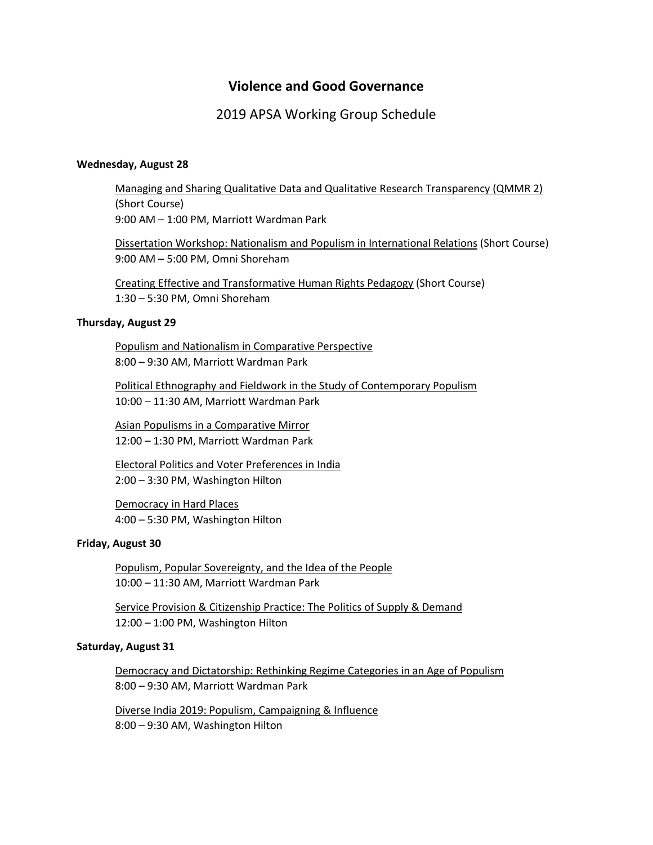# **Violence and Good Governance**

## 2019 APSA Working Group Schedule

### **Wednesday, August 28**

Managing and Sharing Qualitative Data and Qualitative Research Transparency (QMMR 2) (Short Course) 9:00 AM – 1:00 PM, Marriott Wardman Park

Dissertation Workshop: Nationalism and Populism in International Relations (Short Course) 9:00 AM – 5:00 PM, Omni Shoreham

Creating Effective and Transformative Human Rights Pedagogy (Short Course) 1:30 – 5:30 PM, Omni Shoreham

#### **Thursday, August 29**

Populism and Nationalism in Comparative Perspective 8:00 – 9:30 AM, Marriott Wardman Park

Political Ethnography and Fieldwork in the Study of Contemporary Populism 10:00 – 11:30 AM, Marriott Wardman Park

Asian Populisms in a Comparative Mirror 12:00 – 1:30 PM, Marriott Wardman Park

Electoral Politics and Voter Preferences in India 2:00 – 3:30 PM, Washington Hilton

Democracy in Hard Places 4:00 – 5:30 PM, Washington Hilton

#### **Friday, August 30**

Populism, Popular Sovereignty, and the Idea of the People 10:00 – 11:30 AM, Marriott Wardman Park

Service Provision & Citizenship Practice: The Politics of Supply & Demand 12:00 – 1:00 PM, Washington Hilton

#### **Saturday, August 31**

Democracy and Dictatorship: Rethinking Regime Categories in an Age of Populism 8:00 – 9:30 AM, Marriott Wardman Park

Diverse India 2019: Populism, Campaigning & Influence 8:00 – 9:30 AM, Washington Hilton